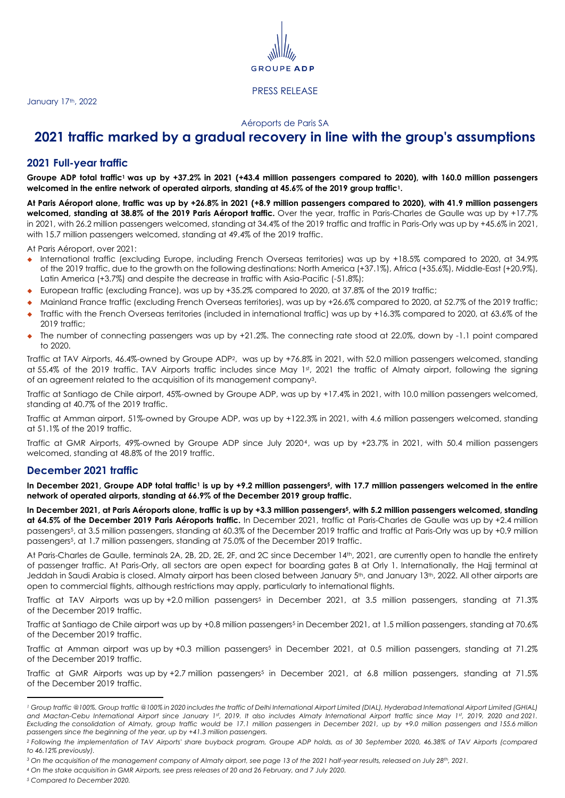

#### Aéroports de Paris SA

# **2021 traffic marked by a gradual recovery in line with the group's assumptions**

## **2021 Full-year traffic**

<span id="page-0-0"></span>Groupe ADP total traffic<sup>1</sup> was up by +37.2% in 2021 (+43.4 million passengers compared to 2020), with 160.0 million passengers **welcomed in the entire network of operated airports, standing at 45.6% of the 2019 group traffic1[.](#page-0-0)**

At Paris Aéroport alone, traffic was up by +26.8% in 2021 (+8.9 million passengers compared to 2020), with 41.9 million passengers **welcomed, standing at 38.8% of the 2019 Paris Aéroport traffic.** Over the year, traffic in Paris-Charles de Gaulle was up by +17.7% in 2021, with 26.2 million passengers welcomed, standing at 34.4% of the 2019 traffic and traffic in Paris-Orly was up by +45.6% in 2021, with 15.7 million passengers welcomed, standing at 49.4% of the 2019 traffic.

At Paris Aéroport, over 2021:

- International traffic (excluding Europe, including French Overseas territories) was up by +18.5% compared to 2020, at 34.9% of the 2019 traffic, due to the growth on the following destinations: North America (+37.1%), Africa (+35.6%), Middle-East (+20.9%), Latin America (+3.7%) and despite the decrease in traffic with Asia-Pacific (-51.8%);
- ◆ European traffic (excluding France), was up by +35.2% compared to 2020, at 37.8% of the 2019 traffic;
- Mainland France traffic (excluding French Overseas territories), was up by +26.6% compared to 2020, at 52.7% of the 2019 traffic;
- Traffic with the French Overseas territories (included in international traffic) was up by +16.3% compared to 2020, at 63.6% of the 2019 traffic;
- The number of connecting passengers was up by  $+21.2\%$ . The connecting rate stood at 22.0%, down by  $-1.1$  point compared to 2020.

Traffic at TAV Airports, 46.4%-owned by Groupe ADP2, was up by +76.8% in 2021, with 52.0 million passengers welcomed, standing at 55.4% of the 2019 traffic. TAV Airports traffic includes since May 1st , 2021 the traffic of Almaty airport, following the signing of an agreement related to the acquisition of its management company3.

Traffic at Santiago de Chile airport, 45%-owned by Groupe ADP, was up by +17.4% in 2021, with 10.0 million passengers welcomed, standing at 40.7% of the 2019 traffic.

Traffic at Amman airport, 51%-owned by Groupe ADP, was up by +122.3% in 2021, with 4.6 million passengers welcomed, standing at 51.1% of the 2019 traffic.

Traffic at GMR Airports, 49%-owned by Groupe ADP since July 20204, was up by +23.7% in 2021, with 50.4 million passengers welcomed, standing at 48.8% of the 2019 traffic.

### **December 2021 traffic**

<span id="page-0-1"></span>In De[c](#page-0-0)ember 2021, Groupe ADP total traffic<sup>1</sup> is up by +9.2 million passengers<sup>5</sup>, with 17.7 million passengers welcomed in the entire **network of operated airports, standing at 66.9% of the December 2019 group traffic.**

In December 2021, at Pari[s](#page-0-1) Aéroports alone, traffic is up by +3.3 million passengers<sup>5</sup>, with 5.2 million passengers welcomed, standing **at 64.5% of the December 2019 Paris Aéroports traffic.** In December 2021, traffic at Paris-Charles de Gaulle was up by +2.4 million passengers5[,](#page-0-1) at 3.5 million passengers, standing at 60.3% of the December 2019 traffic and traffic at Paris-Orly was up by +0.9 million passengers<sup>5</sup>[,](#page-0-1) at 1.7 million passengers, standing at 75.0% of the December 2019 traffic.

At Paris-Charles de Gaulle, terminals 2A, 2B, 2D, 2E, 2F, and 2C since December 14th, 2021, are currently open to handle the entirety of passenger traffic. At Paris-Orly, all sectors are open expect for boarding gates B at Orly 1. Internationally, the Hajj terminal at Jeddah in Saudi Arabia is closed. Almaty airport has been closed between January 5<sup>th</sup>, and January 13<sup>th</sup>, 2022. All other airports are open to commercial flights, although restrictions may apply, particularly to international flights.

Traffic at TAV Airport[s](#page-0-1) was up by +2.0 million passengers<sup>5</sup> in December 2021, at 3.5 million passengers, standing at 71.3% of the December 2019 traffic.

Traffic at Santiago de Chile airport wa[s](#page-0-1) up by +0.8 million passengers<sup>5</sup> in December 2021, at 1.5 million passengers, standing at 70.6% of the December 2019 traffic.

Traffic at Amman airport wa[s](#page-0-1) up by +0.3 million passengers<sup>5</sup> in December 2021, at 0.5 million passengers, standing at 71.2% of the December 2019 traffic.

Traffic at GMR Airport[s](#page-0-1) was up by +2.7 million passengers<sup>5</sup> in December 2021, at 6.8 million passengers, standing at 71.5% of the December 2019 traffic.

<sup>&</sup>lt;sup>1</sup> Group traffic @100%. Group traffic @100% in 2020 includes the traffic of Delhi International Airport Limited (DIAL), Hyderabad International Airport Limited (GHIAL) *and Mactan-Cebu International Airport since January 1st, 2019. It also includes Almaty International Airport traffic since May 1st, 2019, 2020 and 2021. Excluding the consolidation of Almaty, group traffic would be 17.1 million passengers in December 2021, up by +9.0 million passengers and 155.6 million passengers since the beginning of the year, up by +41.3 million passengers.*

*<sup>2</sup> Following the implementation of TAV Airports' share buyback program, Groupe ADP holds, as of 30 September 2020, 46.38% of TAV Airports (compared to 46.12% previously).*

*<sup>3</sup> On the acquisition of the management company of Almaty airport, see page 13 of the 2021 half-year results, released on July 28th, 2021.*

*<sup>4</sup> On the stake acquisition in GMR Airports, see press releases of 20 and 26 February, and 7 July 2020.*

*<sup>5</sup> Compared to December 2020.*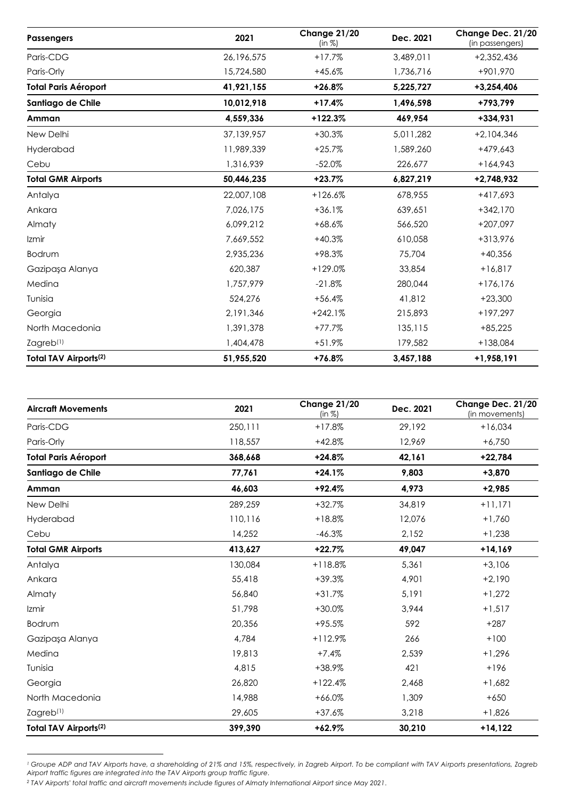| Passengers                   | 2021       | Change 21/20<br>(in %) | Dec. 2021 | Change Dec. 21/20<br>(in passengers) |
|------------------------------|------------|------------------------|-----------|--------------------------------------|
| Paris-CDG                    | 26,196,575 | $+17.7%$               | 3,489,011 | +2,352,436                           |
| Paris-Orly                   | 15,724,580 | $+45.6%$               | 1,736,716 | +901,970                             |
| <b>Total Paris Aéroport</b>  | 41,921,155 | $+26.8%$               | 5,225,727 | $+3,254,406$                         |
| Santiago de Chile            | 10,012,918 | $+17.4%$               | 1,496,598 | +793,799                             |
| Amman                        | 4,559,336  | $+122.3%$              | 469,954   | $+334.931$                           |
| New Delhi                    | 37,139,957 | $+30.3%$               | 5,011,282 | $+2,104,346$                         |
| Hyderabad                    | 11,989,339 | $+25.7%$               | 1,589,260 | $+479,643$                           |
| Cebu                         | 1,316,939  | $-52.0%$               | 226,677   | $+164,943$                           |
| <b>Total GMR Airports</b>    | 50,446,235 | $+23.7%$               | 6,827,219 | $+2,748,932$                         |
| Antalya                      | 22,007,108 | $+126.6%$              | 678,955   | $+417,693$                           |
| Ankara                       | 7,026,175  | $+36.1%$               | 639,651   | $+342,170$                           |
| Almaty                       | 6,099,212  | $+68.6%$               | 566,520   | $+207,097$                           |
| Izmir                        | 7,669,552  | $+40.3%$               | 610,058   | +313,976                             |
| Bodrum                       | 2,935,236  | +98.3%                 | 75,704    | $+40,356$                            |
| Gazipaşa Alanya              | 620,387    | $+129.0%$              | 33,854    | $+16,817$                            |
| Medina                       | 1,757,979  | $-21.8%$               | 280,044   | $+176,176$                           |
| Tunisia                      | 524,276    | $+56.4%$               | 41,812    | $+23,300$                            |
| Georgia                      | 2,191,346  | $+242.1%$              | 215,893   | $+197,297$                           |
| North Macedonia              | 1,391,378  | $+77.7%$               | 135,115   | $+85,225$                            |
| Zagreb <sup>(1)</sup>        | 1,404,478  | +51.9%                 | 179,582   | $+138,084$                           |
| <b>Total TAV Airports(2)</b> | 51,955,520 | +76.8%                 | 3,457,188 | +1,958,191                           |

| <b>Aircraft Movements</b>    | 2021    | Change 21/20<br>(in %) | Dec. 2021 | Change Dec. 21/20<br>(in movements) |
|------------------------------|---------|------------------------|-----------|-------------------------------------|
| Paris-CDG                    | 250,111 | $+17.8%$               | 29,192    | $+16,034$                           |
| Paris-Orly                   | 118,557 | $+42.8%$               | 12.969    | $+6,750$                            |
| <b>Total Paris Aéroport</b>  | 368,668 | $+24.8%$               | 42,161    | $+22,784$                           |
| Santiago de Chile            | 77,761  | $+24.1%$               | 9,803     | $+3,870$                            |
| Amman                        | 46,603  | $+92.4%$               | 4,973     | $+2,985$                            |
| New Delhi                    | 289,259 | $+32.7%$               | 34,819    | $+11,171$                           |
| Hyderabad                    | 110,116 | $+18.8%$               | 12,076    | $+1,760$                            |
| Cebu                         | 14,252  | $-46.3%$               | 2,152     | $+1,238$                            |
| <b>Total GMR Airports</b>    | 413,627 | $+22.7%$               | 49,047    | $+14,169$                           |
| Antalya                      | 130,084 | $+118.8%$              | 5,361     | $+3,106$                            |
| Ankara                       | 55,418  | $+39.3%$               | 4,901     | $+2,190$                            |
| Almaty                       | 56,840  | $+31.7%$               | 5,191     | $+1,272$                            |
| Izmir                        | 51,798  | $+30.0%$               | 3,944     | $+1,517$                            |
| Bodrum                       | 20,356  | $+95.5%$               | 592       | $+287$                              |
| Gazipaşa Alanya              | 4,784   | $+112.9%$              | 266       | $+100$                              |
| Medina                       | 19,813  | $+7.4%$                | 2,539     | $+1,296$                            |
| Tunisia                      | 4,815   | +38.9%                 | 421       | $+196$                              |
| Georgia                      | 26,820  | $+122.4%$              | 2,468     | $+1,682$                            |
| North Macedonia              | 14,988  | $+66.0%$               | 1,309     | $+650$                              |
| $Z$ agreb $(1)$              | 29,605  | $+37.6%$               | 3,218     | $+1,826$                            |
| <b>Total TAV Airports(2)</b> | 399,390 | $+62.9%$               | 30,210    | $+14,122$                           |

*<sup>1</sup> Groupe ADP and TAV Airports have, a shareholding of 21% and 15%, respectively, in Zagreb Airport. To be compliant with TAV Airports presentations, Zagreb Airport traffic figures are integrated into the TAV Airports group traffic figure.*

*<sup>2</sup> TAV Airports' total traffic and aircraft movements include figures of Almaty International Airport since May 2021.*